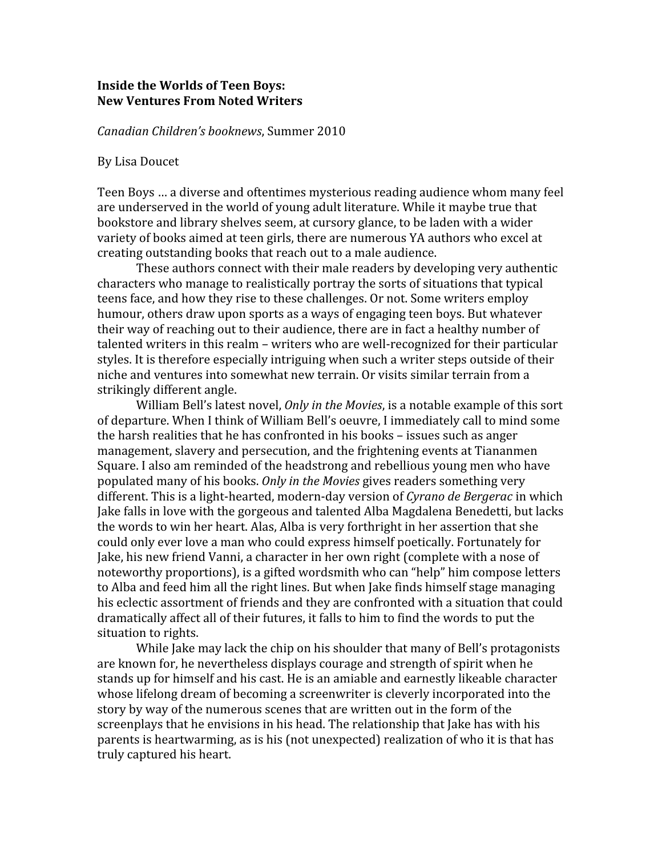## **Inside
the
Worlds
of
Teen
Boys: New
Ventures
From
Noted
Writers**

*Canadian
Children's booknews*,
Summer
2010

## By
Lisa
Doucet

Teen
Boys
…
a
diverse
and
oftentimes
mysterious
reading
audience
whom
many
feel are underserved in the world of young adult literature. While it maybe true that bookstore
and
library
shelves
seem,
at
cursory
glance,
to
be
laden
with
a
wider variety of books aimed at teen girls, there are numerous YA authors who excel at creating
outstanding
books
that
reach
out
to
a
male
audience.

These
authors
connect
with
their
male
readers
by
developing
very
authentic characters
who
manage
to
realistically
portray
the
sorts
of
situations
that
typical teens face, and how they rise to these challenges. Or not, Some writers employ humour, others draw upon sports as a ways of engaging teen boys. But whatever their way of reaching out to their audience, there are in fact a healthy number of talented writers in this realm – writers who are well-recognized for their particular styles. It is therefore especially intriguing when such a writer steps outside of their niche
and
ventures
into
somewhat
new
terrain.
Or
visits
similar
terrain
from
a strikingly
different
angle.

William Bell's latest novel, *Only in the Movies*, is a notable example of this sort of
departure.
When
I
think
of William
Bell's
oeuvre,
I
immediately
call
to
mind
some the harsh realities that he has confronted in his books – issues such as anger management,
slavery
and
persecution,
and
the
frightening
events
at
Tiananmen Square.
I
also
am
reminded
of
the
headstrong
and
rebellious
young
men
who
have populated
many
of
his
books. *Only
in
the
Movies*gives
readers
something
very different. This is a light-hearted, modern-day version of *Cyrano de Bergerac* in which Jake falls in love with the gorgeous and talented Alba Magdalena Benedetti, but lacks the
words
to
win
her
heart.
Alas,
Alba
is
very
forthright
in
her
assertion
that
she could
only
ever
love
a
man
who
could
express
himself
poetically.
Fortunately
for Jake, his new friend Vanni, a character in her own right (complete with a nose of noteworthy proportions), is a gifted wordsmith who can "help" him compose letters to Alba and feed him all the right lines. But when Jake finds himself stage managing his
eclectic
assortment
of
friends
and
they
are
confronted
with
a
situation
that
could dramatically affect all of their futures, it falls to him to find the words to put the situation to rights.

While Jake may lack the chip on his shoulder that many of Bell's protagonists are
known
for,
he
nevertheless
displays
courage
and
strength
of
spirit
when
he stands up for himself and his cast. He is an amiable and earnestly likeable character whose lifelong dream of becoming a screenwriter is cleverly incorporated into the story by way of the numerous scenes that are written out in the form of the screenplays that he envisions in his head. The relationship that Jake has with his parents is heartwarming, as is his (not unexpected) realization of who it is that has truly
captured
his
heart.